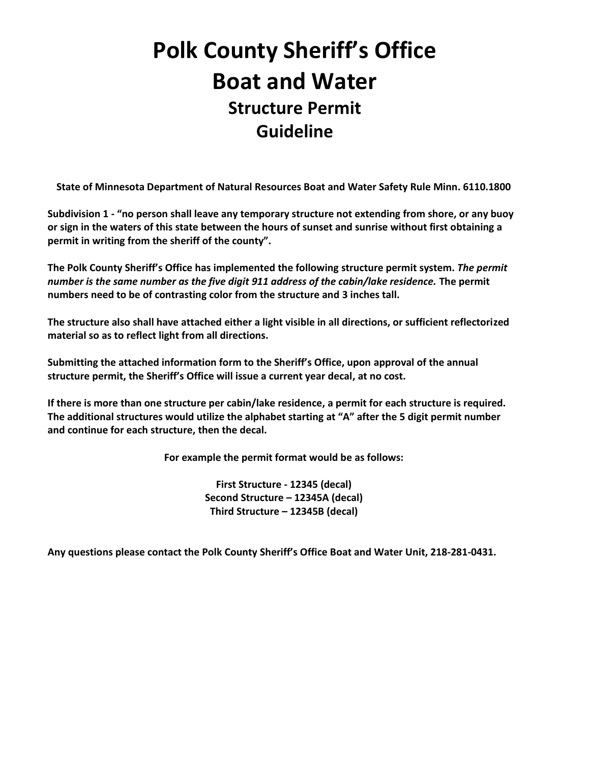## **Polk County Sheriff's Office Boat and Water Structure Permit Guideline**

**State of Minnesota Department of Natural Resources Boat and Water Safety Rule Minn. 6110.1800**

**Subdivision 1 - "no person shall leave any temporary structure not extending from shore, or any buoy or sign in the waters of this state between the hours of sunset and sunrise without first obtaining a permit in writing from the sheriff of the county".** 

**The Polk County Sheriff's Office has implemented the following structure permit system.** *The permit number is the same number as the five digit 911 address of the cabin/lake residence.* **The permit numbers need to be of contrasting color from the structure and 3 inches tall.**

**The structure also shall have attached either a light visible in all directions, or sufficient reflectorized material so as to reflect light from all directions.**

**Submitting the attached information form to the Sheriff's Office, upon approval of the annual structure permit, the Sheriff's Office will issue a current year decal, at no cost.** 

**If there is more than one structure per cabin/lake residence, a permit for each structure is required. The additional structures would utilize the alphabet starting at "A" after the 5 digit permit number and continue for each structure, then the decal.** 

**For example the permit format would be as follows:**

**First Structure - 12345 (decal) Second Structure – 12345A (decal) Third Structure – 12345B (decal)**

**Any questions please contact the Polk County Sheriff's Office Boat and Water Unit, 218-281-0431.**